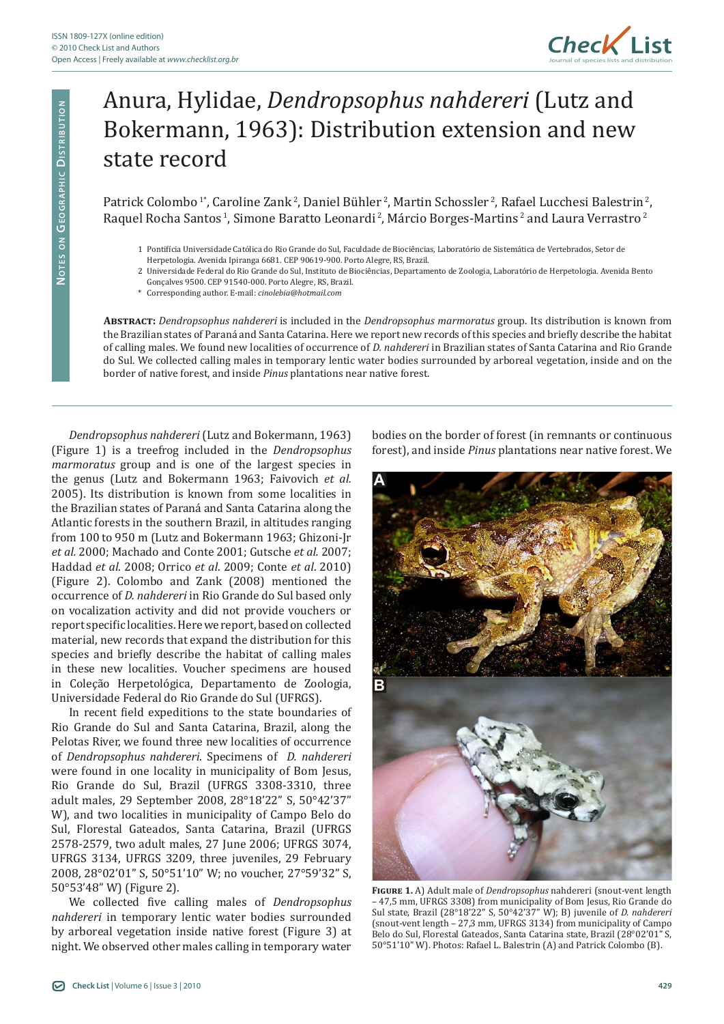

## Anura, Hylidae, *Dendropsophus nahdereri* (Lutz and Bokermann, 1963): Distribution extension and new state record

Patrick Colombo<sup>1\*</sup>, Caroline Zank<sup>2</sup>, Daniel Bühler<sup>2</sup>, Martin Schossler<sup>2</sup>, Rafael Lucchesi Balestrin<sup>2</sup>, Raquel Rocha Santos<sup>1</sup>, Simone Baratto Leonardi<sup>2</sup>, Márcio Borges-Martins<sup>2</sup> and Laura Verrastro<sup>2</sup>

- 1 Pontifícia Universidade Católica do Rio Grande do Sul, Faculdade de Biociências, Laboratório de Sistemática de Vertebrados, Setor de
- Herpetologia. Avenida Ipiranga 6681. CEP 90619-900. Porto Alegre, RS, Brazil.
- 2 Universidade Federal do Rio Grande do Sul, Instituto de Biociências, Departamento de Zoologia, Laboratório de Herpetologia. Avenida Bento
- Gonçalves 9500. CEP 91540-000. Porto Alegre, RS, Brazil. \* Corresponding author. E-mail: *cinolebia@hotmail.com*

**Abstract:** *Dendropsophus nahdereri* is included in the *Dendropsophus marmoratus* group. Its distribution is known from the Brazilian states of Paraná and Santa Catarina. Here we report new records of this species and briefly describe the habitat of calling males. We found new localities of occurrence of *D. nahdereri* in Brazilian states of Santa Catarina and Rio Grande do Sul. We collected calling males in temporary lentic water bodies surrounded by arboreal vegetation, inside and on the border of native forest, and inside *Pinus* plantations near native forest.

*Dendropsophus nahdereri* (Lutz and Bokermann, 1963) (Figure 1) is a treefrog included in the *Dendropsophus marmoratus* group and is one of the largest species in the genus (Lutz and Bokermann 1963; Faivovich *et al.* 2005). Its distribution is known from some localities in the Brazilian states of Paraná and Santa Catarina along the Atlantic forests in the southern Brazil, in altitudes ranging from 100 to 950 m (Lutz and Bokermann 1963; Ghizoni-Jr *et al.* 2000; Machado and Conte 2001; Gutsche *et al.* 2007; Haddad *et al*. 2008; Orrico *et al*. 2009; Conte *et al*. 2010) (Figure 2). Colombo and Zank (2008) mentioned the occurrence of *D. nahdereri* in Rio Grande do Sul based only on vocalization activity and did not provide vouchers or report specific localities. Here we report, based on collected material, new records that expand the distribution for this species and briefly describe the habitat of calling males in these new localities. Voucher specimens are housed in Coleção Herpetológica, Departamento de Zoologia, Universidade Federal do Rio Grande do Sul (UFRGS).

In recent field expeditions to the state boundaries of Rio Grande do Sul and Santa Catarina, Brazil, along the Pelotas River, we found three new localities of occurrence of *Dendropsophus nahdereri*. Specimens of *D. nahdereri* were found in one locality in municipality of Bom Jesus, Rio Grande do Sul, Brazil (UFRGS 3308-3310, three adult males, 29 September 2008, 28°18'22" S, 50°42'37" W), and two localities in municipality of Campo Belo do Sul, Florestal Gateados, Santa Catarina, Brazil (UFRGS 2578-2579, two adult males, 27 June 2006; UFRGS 3074, UFRGS 3134, UFRGS 3209, three juveniles, 29 February 2008, 28°02'01" S, 50°51'10" W; no voucher, 27°59'32" S, 50°53'48" W) (Figure 2).

We collected five calling males of *Dendropsophus nahdereri* in temporary lentic water bodies surrounded by arboreal vegetation inside native forest (Figure 3) at night. We observed other males calling in temporary water

bodies on the border of forest (in remnants or continuous forest), and inside *Pinus* plantations near native forest. We



**Figure 1.** A) Adult male of *Dendropsophus* nahdereri (snout-vent length – 47,5 mm, UFRGS 3308) from municipality of Bom Jesus, Rio Grande do Sul state, Brazil (28°18'22" S, 50°42'37" W); B) juvenile of *D. nahdereri* (snout-vent length – 27,3 mm, UFRGS 3134) from municipality of Campo Belo do Sul, Florestal Gateados, Santa Catarina state, Brazil (28°02'01" S, 50°51'10" W). Photos: Rafael L. Balestrin (A) and Patrick Colombo (B).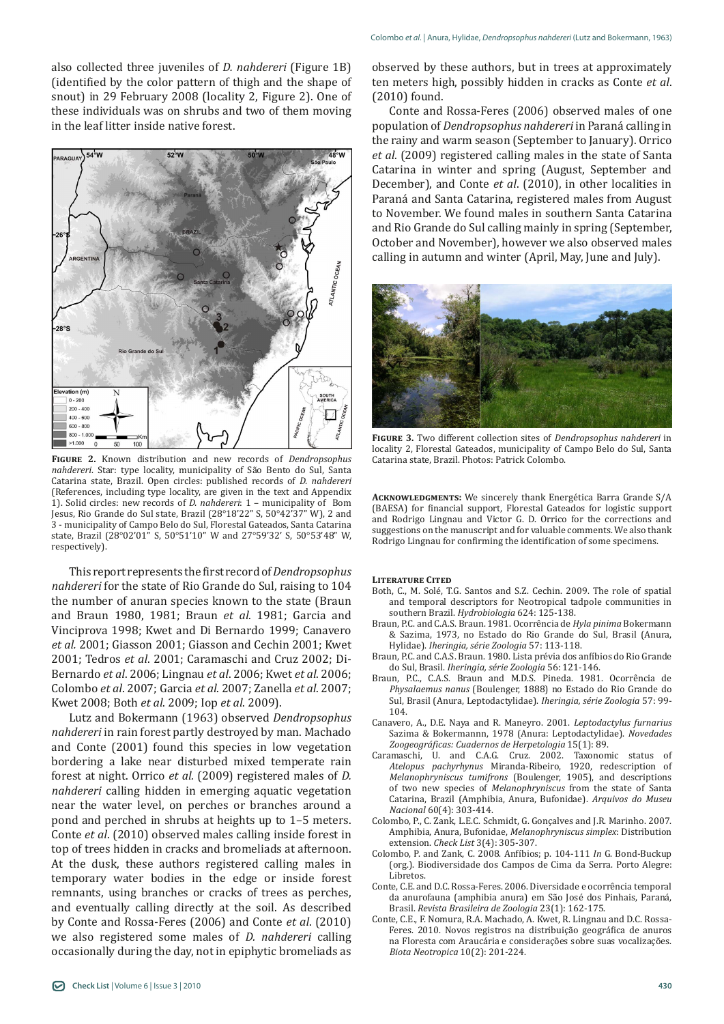also collected three juveniles of *D. nahdereri* (Figure 1B) (identified by the color pattern of thigh and the shape of snout) in 29 February 2008 (locality 2, Figure 2). One of these individuals was on shrubs and two of them moving in the leaf litter inside native forest.



**Figure 2.** Known distribution and new records of *Dendropsophus nahdereri*. Star: type locality, municipality of São Bento do Sul, Santa Catarina state, Brazil. Open circles: published records of *D. nahdereri*  (References, including type locality, are given in the text and Appendix 1). Solid circles: new records of *D. nahdereri*: 1 – municipality of Bom Jesus, Rio Grande do Sul state, Brazil (28°18'22" S, 50°42'37" W), 2 and 3 - municipality of Campo Belo do Sul, Florestal Gateados, Santa Catarina state, Brazil (28°02'01" S, 50°51'10" W and 27°59'32' S, 50°53'48" W, respectively).

This report represents the first record of *Dendropsophus nahdereri* for the state of Rio Grande do Sul, raising to 104 the number of anuran species known to the state (Braun and Braun 1980, 1981; Braun *et al.* 1981; Garcia and Vinciprova 1998; Kwet and Di Bernardo 1999; Canavero *et al.* 2001; Giasson 2001; Giasson and Cechin 2001; Kwet 2001; Tedros *et al*. 2001; Caramaschi and Cruz 2002; Di-Bernardo *et al*. 2006; Lingnau *et al*. 2006; Kwet *et al*. 2006; Colombo *et al*. 2007; Garcia *et al*. 2007; Zanella *et al*. 2007; Kwet 2008; Both *et al*. 2009; Iop *et al*. 2009).

Lutz and Bokermann (1963) observed *Dendropsophus nahdereri* in rain forest partly destroyed by man. Machado and Conte (2001) found this species in low vegetation bordering a lake near disturbed mixed temperate rain forest at night. Orrico *et al.* (2009) registered males of *D. nahdereri* calling hidden in emerging aquatic vegetation near the water level, on perches or branches around a pond and perched in shrubs at heights up to 1–5 meters. Conte *et al*. (2010) observed males calling inside forest in top of trees hidden in cracks and bromeliads at afternoon. At the dusk, these authors registered calling males in temporary water bodies in the edge or inside forest remnants, using branches or cracks of trees as perches, and eventually calling directly at the soil. As described by Conte and Rossa-Feres (2006) and Conte *et al*. (2010) we also registered some males of *D. nahdereri* calling occasionally during the day, not in epiphytic bromeliads as

observed by these authors, but in trees at approximately ten meters high, possibly hidden in cracks as Conte *et al*. (2010) found.

Conte and Rossa-Feres (2006) observed males of one population of *Dendropsophus nahdereri* in Paraná calling in the rainy and warm season (September to January). Orrico *et al.* (2009) registered calling males in the state of Santa Catarina in winter and spring (August, September and December), and Conte *et al*. (2010), in other localities in Paraná and Santa Catarina, registered males from August to November. We found males in southern Santa Catarina and Rio Grande do Sul calling mainly in spring (September, October and November), however we also observed males calling in autumn and winter (April, May, June and July).



**Figure 3.** Two different collection sites of *Dendropsophus nahdereri* in locality 2, Florestal Gateados, municipality of Campo Belo do Sul, Santa Catarina state, Brazil. Photos: Patrick Colombo.

**Acknowledgments:** We sincerely thank Energética Barra Grande S/A (BAESA) for financial support, Florestal Gateados for logistic support and Rodrigo Lingnau and Victor G. D. Orrico for the corrections and suggestions on the manuscript and for valuable comments. We also thank Rodrigo Lingnau for confirming the identification of some specimens.

**Literature Cited**

- Both, C., M. Solé, T.G. Santos and S.Z. Cechin. 2009. The role of spatial and temporal descriptors for Neotropical tadpole communities in southern Brazil. *Hydrobiologia* 624: 125-138.
- Braun, P.C. and C.A.S. Braun. 1981. Ocorrência de *Hyla pinima* Bokermann & Sazima, 1973, no Estado do Rio Grande do Sul, Brasil (Anura, Hylidae). *Iheringia, série Zoologia* 57: 113-118.
- Braun, P.C. and C.A.S. Braun. 1980. Lista prévia dos anfíbios do Rio Grande do Sul, Brasil. *Iheringia, série Zoologia* 56: 121-146.
- Braun, P.C., C.A.S. Braun and M.D.S. Pineda. 1981. Ocorrência de *Physalaemus nanus* (Boulenger, 1888) no Estado do Rio Grande do Sul, Brasil (Anura, Leptodactylidae). *Iheringia, série Zoologia* 57: 99- 104.
- Canavero, A., D.E. Naya and R. Maneyro. 2001. *Leptodactylus furnarius*  Sazima & Bokermannn, 1978 (Anura: Leptodactylidae). *Novedades Zoogeográficas: Cuadernos de Herpetologia* 15(1): 89.
- Caramaschi, U. and C.A.G. Cruz. 2002. Taxonomic status of *Atelopus pachyrhynus* Miranda-Ribeiro, 1920, redescription of *Melanophryniscus tumifrons* (Boulenger, 1905), and descriptions of two new species of *Melanophryniscus* from the state of Santa Catarina, Brazil (Amphibia, Anura, Bufonidae). *Arquivos do Museu Nacional* 60(4): 303-414.
- Colombo, P., C. Zank, L.E.C. Schmidt, G. Gonçalves and J.R. Marinho. 2007. Amphibia, Anura, Bufonidae, *Melanophryniscus simplex*: Distribution extension. *Check List* 3(4): 305-307.
- Colombo, P. and Zank, C. 2008. Anfíbios; p. 104-111 *In* G. Bond-Buckup (org.). Biodiversidade dos Campos de Cima da Serra. Porto Alegre: Libretos.
- Conte, C.E. and D.C. Rossa-Feres. 2006. Diversidade e ocorrência temporal da anurofauna (amphibia anura) em São José dos Pinhais, Paraná, Brasil. *Revista Brasileira de Zoologia* 23(1): 162-175.
- Conte, C.E., F. Nomura, R.A. Machado, A. Kwet, R. Lingnau and D.C. Rossa-Feres. 2010. Novos registros na distribuição geográfica de anuros na Floresta com Araucária e considerações sobre suas vocalizações. *Biota Neotropica* 10(2): 201-224.